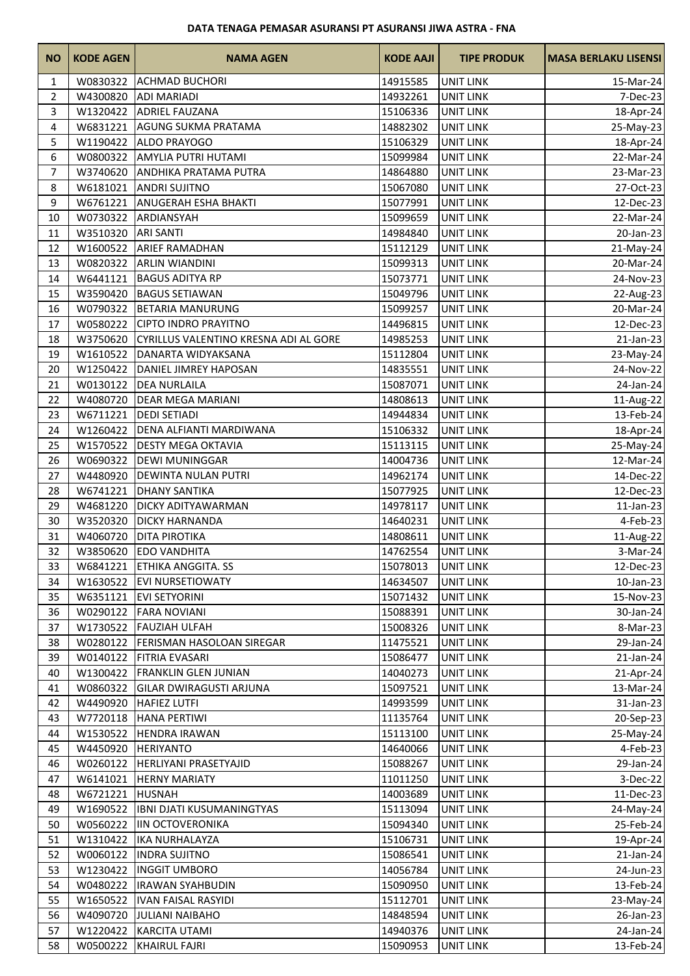## **DATA TENAGA PEMASAR ASURANSI PT ASURANSI JIWA ASTRA - FNA**

| <b>NO</b>      | <b>KODE AGEN</b> | <b>NAMA AGEN</b>                      | <b>KODE AAJI</b> | <b>TIPE PRODUK</b> | <b>MASA BERLAKU LISENSI</b> |
|----------------|------------------|---------------------------------------|------------------|--------------------|-----------------------------|
| 1              | W0830322         | <b>ACHMAD BUCHORI</b>                 | 14915585         | <b>UNIT LINK</b>   | 15-Mar-24                   |
| 2              | W4300820         | <b>ADI MARIADI</b>                    | 14932261         | UNIT LINK          | 7-Dec-23                    |
| 3              | W1320422         | <b>ADRIEL FAUZANA</b>                 | 15106336         | <b>UNIT LINK</b>   | 18-Apr-24                   |
| 4              | W6831221         | <b>AGUNG SUKMA PRATAMA</b>            | 14882302         | <b>UNIT LINK</b>   | 25-May-23                   |
| 5              | W1190422         | <b>ALDO PRAYOGO</b>                   | 15106329         | <b>UNIT LINK</b>   | 18-Apr-24                   |
| 6              |                  | W0800322 AMYLIA PUTRI HUTAMI          | 15099984         | <b>UNIT LINK</b>   | 22-Mar-24                   |
| $\overline{7}$ | W3740620         | <b>ANDHIKA PRATAMA PUTRA</b>          | 14864880         | <b>UNIT LINK</b>   | 23-Mar-23                   |
| 8              | W6181021         | <b>ANDRI SUJITNO</b>                  | 15067080         | <b>UNIT LINK</b>   | 27-Oct-23                   |
| 9              | W6761221         | <b>ANUGERAH ESHA BHAKTI</b>           | 15077991         | <b>UNIT LINK</b>   | 12-Dec-23                   |
| 10             | W0730322         | ARDIANSYAH                            | 15099659         | <b>UNIT LINK</b>   | 22-Mar-24                   |
| 11             | W3510320         | <b>ARI SANTI</b>                      | 14984840         | <b>UNIT LINK</b>   | 20-Jan-23                   |
| 12             | W1600522         | <b>ARIEF RAMADHAN</b>                 | 15112129         | <b>UNIT LINK</b>   | 21-May-24                   |
| 13             | W0820322         | <b>ARLIN WIANDINI</b>                 | 15099313         | <b>UNIT LINK</b>   | 20-Mar-24                   |
| 14             | W6441121         | <b>BAGUS ADITYA RP</b>                | 15073771         | <b>UNIT LINK</b>   | 24-Nov-23                   |
| 15             | W3590420         | <b>BAGUS SETIAWAN</b>                 | 15049796         | <b>UNIT LINK</b>   | 22-Aug-23                   |
| 16             | W0790322         | <b>BETARIA MANURUNG</b>               | 15099257         | <b>UNIT LINK</b>   | 20-Mar-24                   |
| 17             | W0580222         | <b>CIPTO INDRO PRAYITNO</b>           | 14496815         | <b>UNIT LINK</b>   | 12-Dec-23                   |
| 18             | W3750620         | CYRILLUS VALENTINO KRESNA ADI AL GORE | 14985253         | <b>UNIT LINK</b>   | 21-Jan-23                   |
| 19             | W1610522         | DANARTA WIDYAKSANA                    | 15112804         | <b>UNIT LINK</b>   | 23-May-24                   |
| 20             | W1250422         | DANIEL JIMREY HAPOSAN                 | 14835551         | <b>UNIT LINK</b>   | 24-Nov-22                   |
| 21             | W0130122         | <b>DEA NURLAILA</b>                   | 15087071         | <b>UNIT LINK</b>   | 24-Jan-24                   |
| 22             | W4080720         | <b>DEAR MEGA MARIANI</b>              | 14808613         | UNIT LINK          | 11-Aug-22                   |
| 23             | W6711221         | <b>DEDI SETIADI</b>                   | 14944834         | <b>UNIT LINK</b>   | 13-Feb-24                   |
| 24             | W1260422         | DENA ALFIANTI MARDIWANA               | 15106332         | <b>UNIT LINK</b>   | 18-Apr-24                   |
| 25             | W1570522         | <b>DESTY MEGA OKTAVIA</b>             | 15113115         | <b>UNIT LINK</b>   | 25-May-24                   |
| 26             | W0690322         | <b>DEWI MUNINGGAR</b>                 | 14004736         | <b>UNIT LINK</b>   | 12-Mar-24                   |
| 27             | W4480920         | <b>DEWINTA NULAN PUTRI</b>            | 14962174         | <b>UNIT LINK</b>   | 14-Dec-22                   |
| 28             | W6741221         | <b>DHANY SANTIKA</b>                  | 15077925         | <b>UNIT LINK</b>   | 12-Dec-23                   |
| 29             | W4681220         | <b>DICKY ADITYAWARMAN</b>             | 14978117         | <b>UNIT LINK</b>   | $11$ -Jan-23                |
| 30             | W3520320         | <b>DICKY HARNANDA</b>                 | 14640231         | <b>UNIT LINK</b>   | 4-Feb-23                    |
| 31             | W4060720         | <b>DITA PIROTIKA</b>                  | 14808611         | <b>UNIT LINK</b>   | 11-Aug-22                   |
| 32             | W3850620         | <b>EDO VANDHITA</b>                   | 14762554         | <b>UNIT LINK</b>   | 3-Mar-24                    |
| 33             |                  | W6841221 ETHIKA ANGGITA. SS           | 15078013         | <b>UNIT LINK</b>   | 12-Dec-23                   |
| 34             |                  | W1630522 EVI NURSETIOWATY             | 14634507         | <b>UNIT LINK</b>   | 10-Jan-23                   |
| 35             | W6351121         | <b>EVI SETYORINI</b>                  | 15071432         | UNIT LINK          | 15-Nov-23                   |
| 36             | W0290122         | <b>FARA NOVIANI</b>                   | 15088391         | <b>UNIT LINK</b>   | 30-Jan-24                   |
| 37             | W1730522         | <b>FAUZIAH ULFAH</b>                  | 15008326         | <b>UNIT LINK</b>   | 8-Mar-23                    |
| 38             | W0280122         | FERISMAN HASOLOAN SIREGAR             | 11475521         | <b>UNIT LINK</b>   | 29-Jan-24                   |
| 39             | W0140122         | <b>FITRIA EVASARI</b>                 | 15086477         | UNIT LINK          | 21-Jan-24                   |
| 40             | W1300422         | <b>FRANKLIN GLEN JUNIAN</b>           | 14040273         | <b>UNIT LINK</b>   | 21-Apr-24                   |
| 41             | W0860322         | <b>GILAR DWIRAGUSTI ARJUNA</b>        | 15097521         | <b>UNIT LINK</b>   | 13-Mar-24                   |
| 42             | W4490920         | <b>HAFIEZ LUTFI</b>                   | 14993599         | <b>UNIT LINK</b>   | 31-Jan-23                   |
| 43             | W7720118         | <b>HANA PERTIWI</b>                   | 11135764         | <b>UNIT LINK</b>   | 20-Sep-23                   |
| 44             | W1530522         | <b>HENDRA IRAWAN</b>                  | 15113100         | UNIT LINK          | 25-May-24                   |
| 45             | W4450920         | <b>HERIYANTO</b>                      | 14640066         | <b>UNIT LINK</b>   | 4-Feb-23                    |
| 46             | W0260122         | HERLIYANI PRASETYAJID                 | 15088267         | UNIT LINK          | 29-Jan-24                   |
| 47             | W6141021         | <b>HERNY MARIATY</b>                  | 11011250         | <b>UNIT LINK</b>   | 3-Dec-22                    |
| 48             | W6721221         | <b>HUSNAH</b>                         | 14003689         | <b>UNIT LINK</b>   | 11-Dec-23                   |
| 49             | W1690522         | <b>IBNI DJATI KUSUMANINGTYAS</b>      | 15113094         | <b>UNIT LINK</b>   | 24-May-24                   |
| 50             | W0560222         | <b>IIN OCTOVERONIKA</b>               | 15094340         | UNIT LINK          | 25-Feb-24                   |
| 51             | W1310422         | <b>IKA NURHALAYZA</b>                 | 15106731         | <b>UNIT LINK</b>   | 19-Apr-24                   |
| 52             | W0060122         | <b>INDRA SUJITNO</b>                  | 15086541         | <b>UNIT LINK</b>   | $21$ -Jan-24                |
| 53             | W1230422         | <b>INGGIT UMBORO</b>                  | 14056784         | <b>UNIT LINK</b>   | 24-Jun-23                   |
| 54             | W0480222         | <b>IRAWAN SYAHBUDIN</b>               | 15090950         | <b>UNIT LINK</b>   | 13-Feb-24                   |
| 55             | W1650522         | <b>IVAN FAISAL RASYIDI</b>            | 15112701         | <b>UNIT LINK</b>   | 23-May-24                   |
| 56             | W4090720         | <b>JULIANI NAIBAHO</b>                | 14848594         | <b>UNIT LINK</b>   | 26-Jan-23                   |
| 57             | W1220422         | <b>KARCITA UTAMI</b>                  | 14940376         | <b>UNIT LINK</b>   | 24-Jan-24                   |
| 58             |                  | W0500222 KHAIRUL FAJRI                | 15090953         | <b>UNIT LINK</b>   | 13-Feb-24                   |
|                |                  |                                       |                  |                    |                             |